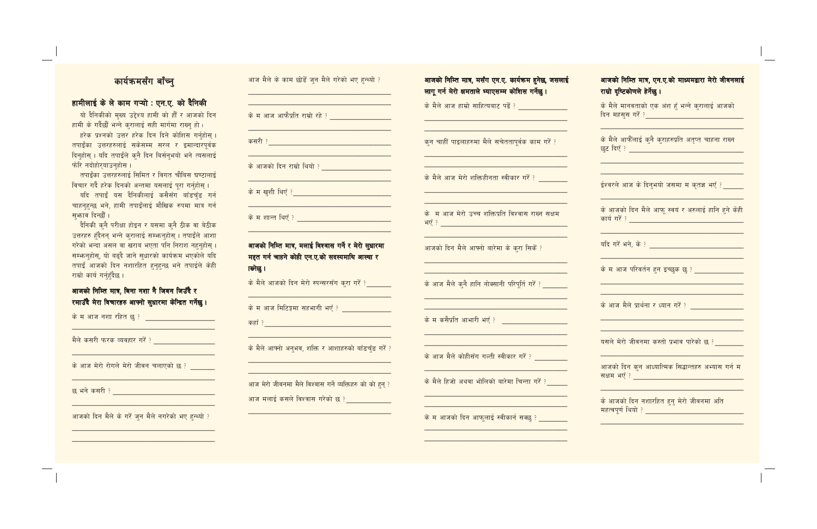# कार्यक्रमसँग बाँच्न

## हामीलाई के ले काम गऱ्यो : एन.ए. को दैनिकी

यो दैनिकीको मुख्य उद्देश्य हामी को हौँ र आजको दिन हामी के गर्दैछौं भन्ने करालाई सही मार्गमा राख्नु हो।

हरेक प्रश्नको उत्तर हरेक दिन दिने कोशिस गर्नहोस । तपाईँका उत्तरहरुलाई सकेसम्म सरल र इमान्दारपूर्वक दिनहोस् । यदि तपाईंले कनै दिन बिर्सनभयो भने त्यसलाई फेरि नदोहोरयाउनहोस ।

तपाईँका उत्तरहरुलाई सिमित र विगत चौबिस घण्टालाई विचार गर्दै हरेक दिनको अन्तमा यसलाई पुरा गर्नुहोस् ।

यदि तपाईं यस दैनिकीलाई कसैसँग बाँडचँड गर्न चाहनहुन्छ भने, हामी तपाईँलाई मौखिक रुपमा मात्र गर्न सभाव दिन्छौं।

दैनिकी कुनै परीक्षा होइन र यसमा कुनै ठीक वा बेठीक उत्तरहरु हँदैनन् भन्ने करालाई सम्फनहोस् । तपाईले आशा गरेको भन्दा असल वा खराब भएता पनि निराश नहनुहोस् । सम्फनहोस्, यो बढ्दै जाने सुधारको कार्यक्रम भएकोले यदि तपाईं आजको दिन नशारहित हुनुहुन्छ भने तपाईले केही राम्रो कार्य गर्न्हदैछ।

#### आजको निम्ति मात्र, बिना नशा नै जिवन जिउँदै र <mark>रमाउँदै मेरा विचारहरु आफ्नो सुधारमा केन्द्रित गर्नेछु।</mark>

<mark>के म आज नशा रहित छु ? \_\_\_\_\_\_\_\_\_\_\_\_\_\_\_\_\_\_\_\_</mark>

<u>मैले कसरी फरक व्यवहार गरें ?</u>

के आज मेरो रोगले मेरो जीवन चलाएको छ ?

आजको दिन मैले के गरें जुन मैले नगरेको भए हुन्थ्यो ?

|  |  |  |  |  |  |  |  |  | आज मैले के काम छोड <mark>ें</mark> जुन मैले गरेको भए हुन्थ्यो ? |  |
|--|--|--|--|--|--|--|--|--|-----------------------------------------------------------------|--|
|--|--|--|--|--|--|--|--|--|-----------------------------------------------------------------|--|

<mark>कसरी ?</mark> संस्कृत के बाद के बाद के बाद के बाद के बाद के बाद के बाद के बाद के बाद के बाद के बाद के बाद के बाद के ब

<mark>के आजको दिन राम्रो थियो ? \_\_\_\_\_\_\_\_\_\_\_\_\_\_\_\_\_\_\_</mark>\_

<u>के म शान्त थिएँ ? \_\_\_\_\_\_\_\_\_\_\_\_\_\_\_\_\_\_\_\_\_\_\_\_</u>

आजको निम्ति मात्र, मलाई विश्वास गर्ने र मेरो सुधारमा मद्दत गर्न चाहने कोही एन.ए.को सदस्यमाथि आस्था र ालेछ।

के मैले आजको दिन मेरो स्पन्सरसँग करा गरँ ?

के म आज मिटिङ्गमा सहभागी भएँ ?

के मैले आफ्नो अनुभव, शक्ति र आशाहरुको बाँडचँड गरें ?

आज मेरो जीवनमा मैले विश्वास गर्ने व्यक्तिहरु को को हुन् ? आज मलाई कसले विश्वास गरेको छ ?

### आजको निम्ति मात्र, मसँग एन.ए. कार्यक्रम हुनेछ, जसलाई लागू गर्न मेरो क्षमताले भ्याएसम्म कोशिस गर्नेछु।

के मैले आज हाम्रो साहित्यबाट पढें ?

कन चाहीँ पाइलाहरुमा मैले सचेततापूर्वक काम गरेँ ?

के मैले आज मेरो शक्तिहीनता स्वीकार गरें ?

के म आज मेरो उच्च शक्तिप्रति विश्वास राख्न सक्षम 

आजको दिन मैले आफ्नो बारेमा के करा सिकें ?

के आज मैले कुनै हानि नोक्सानी परिपूर्ति गरें ?

<u> 1989 - Johann John Stoff, mars ar yn y brenin y brenin y brenin y brenin y brenin y brenin y brenin y brenin</u>

<u>के म कसैप्रति आभारी भएँ ? बाल कर कर कर पा</u>

के आज मैले कोहीसँग गल्ती स्वीकार गरें ?

के मैले हिजो अथवा भोलिको बारेमा चिन्ता गरैं ?

के म आजको दिन आफुलाई स्वीकार्न सक्छ ?

### आजको निम्ति मात्र, एन.ए.को माध्यमद्वारा मेरो जीवनलाई राम्रो दृष्टिकोणले हेर्नेछ।

के मैले मानवताको एक अंश हूँ भन्ने करालाई आजको <u>दिन महसूस गरें ? \_\_\_\_\_\_\_\_\_\_\_\_\_\_\_\_\_\_\_\_\_\_\_\_\_\_\_</u>

के मैले आफैँलाई क्नै क्राहरुप्रति अतृप्त चाहना राख्न <mark>छट दिएँ ? \_\_\_\_\_\_\_\_\_\_\_\_\_\_\_\_\_\_\_\_\_\_\_\_\_\_\_</mark>

ईश्वरले आज के दिनभयो जसमा म कृतज्ञ भएँ ? \_\_\_\_\_

के आजको दिन मैले आफ स्वयं र अरुलाई हानि हुने केही 

.<br>यदि गर्दै भने, के ?

के आज मैले प्रार्थना र ध्यान गरें ?

यसले मेरो जीवनमा कस्तो प्रभाव पारेको छ ?

आजको दिन कुन आध्यात्मिक सिद्धान्तहरु अभ्यास गर्न म सक्षम भएँ ? विकास कार्यालय कार्यालय कार्यालय कार्यालय

के आजको दिन नशारहित हुनु मेरो जीवनमा अति